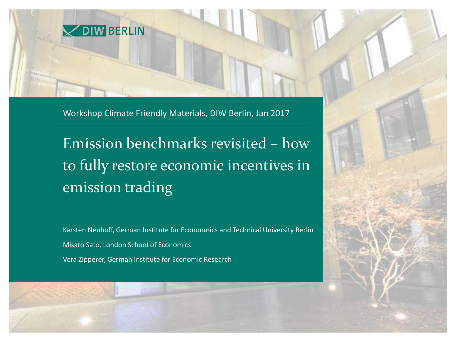

Workshop Climate Friendly Materials, DIW Berlin, Jan 2017

Emission benchmarks revisited – how to fully restore economic incentives in emission trading

Karsten Neuhoff, German Institute for Econonmics and Technical University Berlin Misato Sato, London School of Economics

Vera Zipperer, German Institute for Economic Research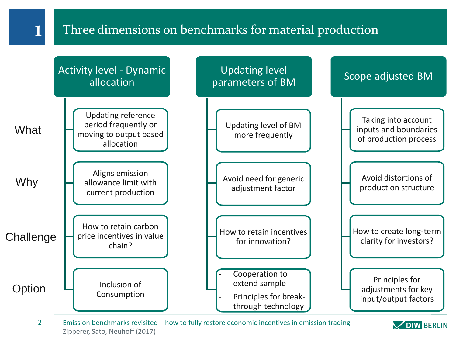## 1 Three dimensions on benchmarks for material production



Zipperer, Sato, Neuhoff (2017) 2 Emission benchmarks revisited – how to fully restore economic incentives in emission trading

**VOIW BERLIN**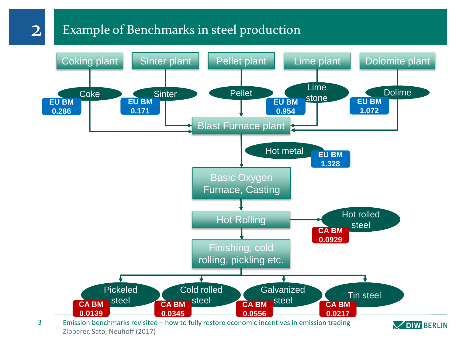## Example of Benchmarks in steel production

2



Zipperer, Sato, Neuhoff (2017) 3 Emission benchmarks revisited – how to fully restore economic incentives in emission trading

**V DIW BERLIN**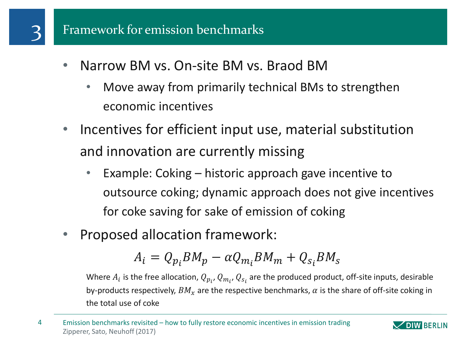- Narrow BM vs. On-site BM vs. Braod BM
	- Move away from primarily technical BMs to strengthen economic incentives
- Incentives for efficient input use, material substitution and innovation are currently missing
	- Example: Coking historic approach gave incentive to outsource coking; dynamic approach does not give incentives for coke saving for sake of emission of coking
- Proposed allocation framework:

$$
A_i = Q_{p_i} B M_p - \alpha Q_{m_i} B M_m + Q_{s_i} B M_s
$$

Where  $A_i$  is the free allocation,  $Q_{p_i}$ ,  $Q_{m_i}$ ,  $Q_{s_i}$  are the produced product, off-site inputs, desirable by-products respectively,  $BM<sub>x</sub>$  are the respective benchmarks,  $\alpha$  is the share of off-site coking in the total use of coke

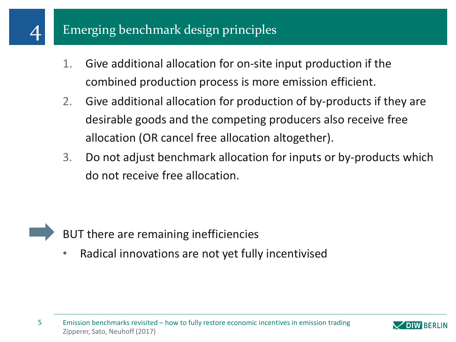## 4 Emerging benchmark design principles

- 1. Give additional allocation for on-site input production if the combined production process is more emission efficient.
- 2. Give additional allocation for production of by-products if they are desirable goods and the competing producers also receive free allocation (OR cancel free allocation altogether).
- 3. Do not adjust benchmark allocation for inputs or by-products which do not receive free allocation.



• Radical innovations are not yet fully incentivised

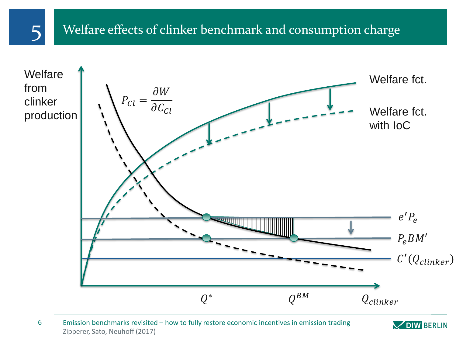## 5 Welfare effects of clinker benchmark and consumption charge



Zipperer, Sato, Neuhoff (2017) 6 Emission benchmarks revisited – how to fully restore economic incentives in emission trading

**VDIW BERLIN**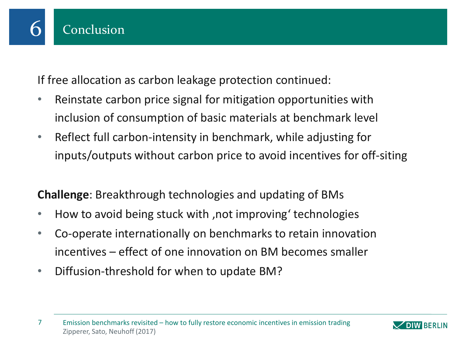

If free allocation as carbon leakage protection continued:

- Reinstate carbon price signal for mitigation opportunities with inclusion of consumption of basic materials at benchmark level
- Reflect full carbon-intensity in benchmark, while adjusting for inputs/outputs without carbon price to avoid incentives for off-siting

**Challenge**: Breakthrough technologies and updating of BMs

- How to avoid being stuck with , not improving' technologies
- Co-operate internationally on benchmarks to retain innovation incentives – effect of one innovation on BM becomes smaller
- Diffusion-threshold for when to update BM?